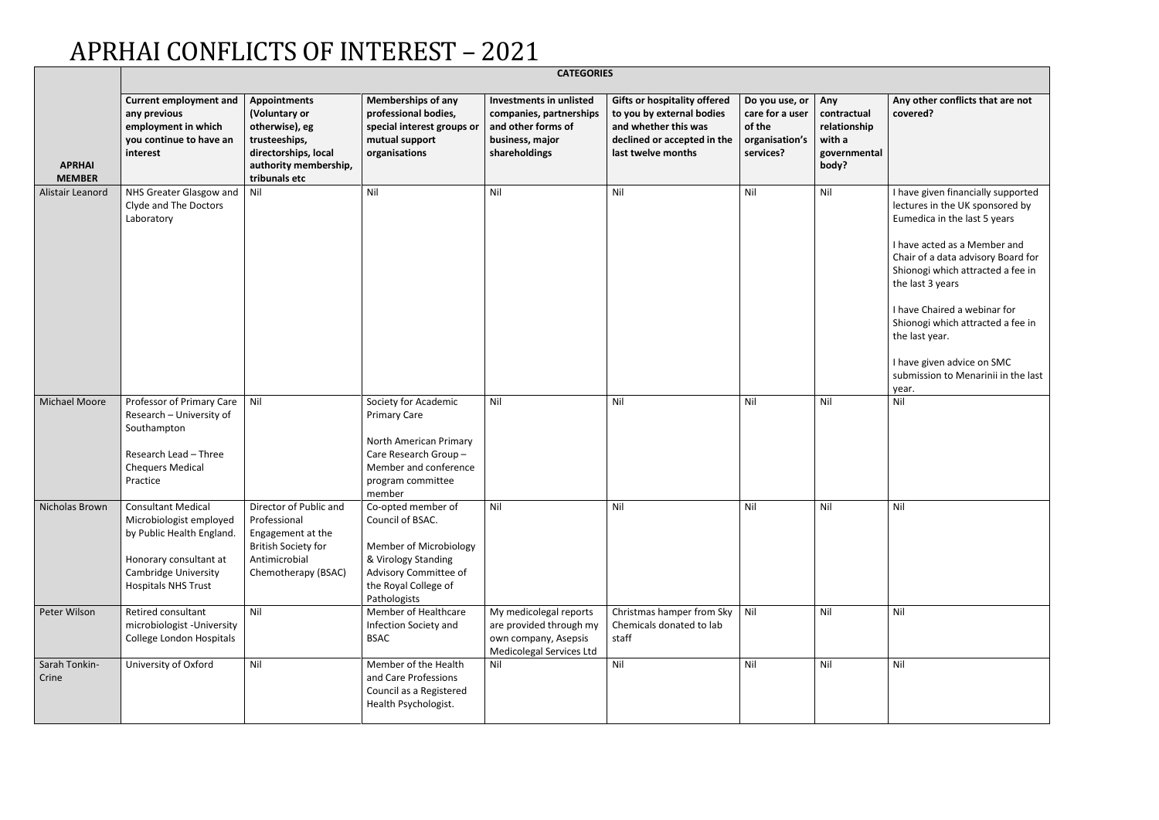## APRHAI CONFLICTS OF INTEREST – 2021

|                                | <b>CATEGORIES</b>                                                                                                                                                           |                                                                                                                                           |                                                                                                                                                          |                                                                                                              |                                                                                                                                               |                                                                            |                                                                       |                                                                                                                                                                                                                                                                                                                                                                                                           |
|--------------------------------|-----------------------------------------------------------------------------------------------------------------------------------------------------------------------------|-------------------------------------------------------------------------------------------------------------------------------------------|----------------------------------------------------------------------------------------------------------------------------------------------------------|--------------------------------------------------------------------------------------------------------------|-----------------------------------------------------------------------------------------------------------------------------------------------|----------------------------------------------------------------------------|-----------------------------------------------------------------------|-----------------------------------------------------------------------------------------------------------------------------------------------------------------------------------------------------------------------------------------------------------------------------------------------------------------------------------------------------------------------------------------------------------|
| <b>APRHAI</b><br><b>MEMBER</b> | <b>Current employment and</b><br>any previous<br>employment in which<br>you continue to have an<br>interest                                                                 | <b>Appointments</b><br>(Voluntary or<br>otherwise), eg<br>trusteeships,<br>directorships, local<br>authority membership,<br>tribunals etc | <b>Memberships of any</b><br>professional bodies,<br>special interest groups or<br>mutual support<br>organisations                                       | Investments in unlisted<br>companies, partnerships<br>and other forms of<br>business, major<br>shareholdings | <b>Gifts or hospitality offered</b><br>to you by external bodies<br>and whether this was<br>declined or accepted in the<br>last twelve months | Do you use, or<br>care for a user<br>of the<br>organisation's<br>services? | Any<br>contractual<br>relationship<br>with a<br>governmental<br>body? | Any other conflicts that are not<br>covered?                                                                                                                                                                                                                                                                                                                                                              |
| Alistair Leanord               | NHS Greater Glasgow and<br>Clyde and The Doctors<br>Laboratory                                                                                                              | Nil                                                                                                                                       | Nil                                                                                                                                                      | Nil                                                                                                          | Nil                                                                                                                                           | Nil                                                                        | Nil                                                                   | I have given financially supported<br>lectures in the UK sponsored by<br>Eumedica in the last 5 years<br>I have acted as a Member and<br>Chair of a data advisory Board for<br>Shionogi which attracted a fee in<br>the last 3 years<br>I have Chaired a webinar for<br>Shionogi which attracted a fee in<br>the last year.<br>I have given advice on SMC<br>submission to Menarinii in the last<br>year. |
| <b>Michael Moore</b>           | Professor of Primary Care<br>Research - University of<br>Southampton<br>Research Lead - Three<br><b>Chequers Medical</b><br>Practice                                        | Nil                                                                                                                                       | Society for Academic<br><b>Primary Care</b><br>North American Primary<br>Care Research Group-<br>Member and conference<br>program committee<br>member    | Nil                                                                                                          | Nil                                                                                                                                           | Nil                                                                        | Nil                                                                   | Nil                                                                                                                                                                                                                                                                                                                                                                                                       |
|                                | Nicholas Brown   Consultant Medical<br>Microbiologist employed<br>by Public Health England.<br>Honorary consultant at<br>Cambridge University<br><b>Hospitals NHS Trust</b> | Director of Public and<br>Professional<br>Engagement at the<br><b>British Society for</b><br>Antimicrobial<br>Chemotherapy (BSAC)         | Co-opted member of<br>Council of BSAC.<br>Member of Microbiology<br>& Virology Standing<br>Advisory Committee of<br>the Royal College of<br>Pathologists | Nil                                                                                                          | Nil                                                                                                                                           | Nil                                                                        | Nil                                                                   | Nil                                                                                                                                                                                                                                                                                                                                                                                                       |
| Peter Wilson                   | Retired consultant<br>microbiologist - University<br>College London Hospitals                                                                                               | Nil                                                                                                                                       | Member of Healthcare<br>Infection Society and<br><b>BSAC</b>                                                                                             | My medicolegal reports<br>are provided through my<br>own company, Asepsis<br>Medicolegal Services Ltd        | Christmas hamper from Sky<br>Chemicals donated to lab<br>staff                                                                                | Nil                                                                        | Nil                                                                   | Nil                                                                                                                                                                                                                                                                                                                                                                                                       |
| Sarah Tonkin-<br>Crine         | University of Oxford                                                                                                                                                        | Nil                                                                                                                                       | Member of the Health<br>and Care Professions<br>Council as a Registered<br>Health Psychologist.                                                          | Nil                                                                                                          | Nil                                                                                                                                           | Nil                                                                        | Nil                                                                   | Nil                                                                                                                                                                                                                                                                                                                                                                                                       |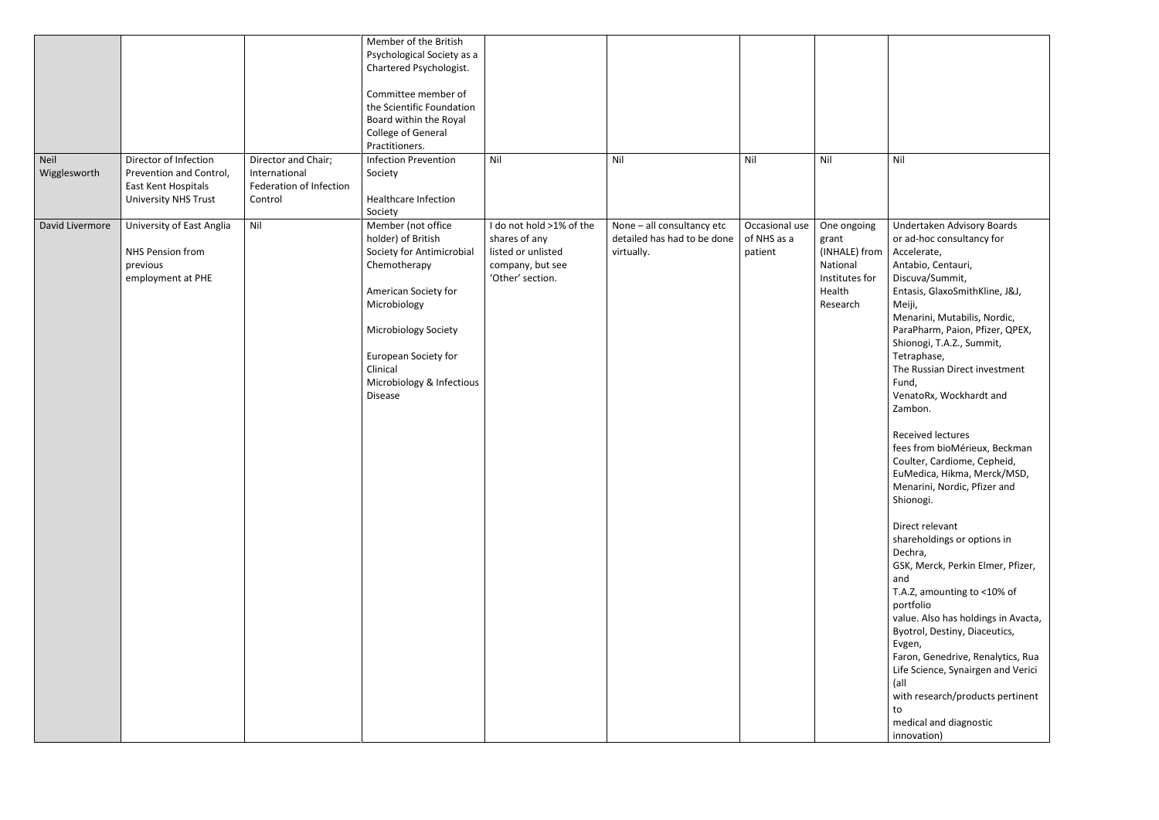|                      |                                                                                                        |                                                                            | Member of the British<br>Psychological Society as a<br>Chartered Psychologist.<br>Committee member of<br>the Scientific Foundation<br>Board within the Royal<br>College of General<br>Practitioners.                                                   |                                                                                                         |                                                                         |                                          |                                                                                           |                                                                                                                                                                                                                                                                                                                                                                                                                                                                                                                                                                                                                                                                                                                                                                                                                                                                                                                                          |
|----------------------|--------------------------------------------------------------------------------------------------------|----------------------------------------------------------------------------|--------------------------------------------------------------------------------------------------------------------------------------------------------------------------------------------------------------------------------------------------------|---------------------------------------------------------------------------------------------------------|-------------------------------------------------------------------------|------------------------------------------|-------------------------------------------------------------------------------------------|------------------------------------------------------------------------------------------------------------------------------------------------------------------------------------------------------------------------------------------------------------------------------------------------------------------------------------------------------------------------------------------------------------------------------------------------------------------------------------------------------------------------------------------------------------------------------------------------------------------------------------------------------------------------------------------------------------------------------------------------------------------------------------------------------------------------------------------------------------------------------------------------------------------------------------------|
| Neil<br>Wigglesworth | Director of Infection<br>Prevention and Control,<br>East Kent Hospitals<br><b>University NHS Trust</b> | Director and Chair;<br>International<br>Federation of Infection<br>Control | <b>Infection Prevention</b><br>Society<br>Healthcare Infection<br>Society                                                                                                                                                                              | Nil                                                                                                     | Nil                                                                     | Nil                                      | Nil                                                                                       | Nil                                                                                                                                                                                                                                                                                                                                                                                                                                                                                                                                                                                                                                                                                                                                                                                                                                                                                                                                      |
| David Livermore      | University of East Anglia<br>NHS Pension from<br>previous<br>employment at PHE                         | Nil                                                                        | Member (not office<br>holder) of British<br>Society for Antimicrobial<br>Chemotherapy<br>American Society for<br>Microbiology<br><b>Microbiology Society</b><br><b>European Society for</b><br>Clinical<br>Microbiology & Infectious<br><b>Disease</b> | I do not hold >1% of the<br>shares of any<br>listed or unlisted<br>company, but see<br>'Other' section. | None - all consultancy etc<br>detailed has had to be done<br>virtually. | Occasional use<br>of NHS as a<br>patient | One ongoing<br>grant<br>(INHALE) from<br>National<br>Institutes for<br>Health<br>Research | Undertaken Advisory Boards<br>or ad-hoc consultancy for<br>Accelerate,<br>Antabio, Centauri,<br>Discuva/Summit,<br>Entasis, GlaxoSmithKline, J&J,<br>Meiji,<br>Menarini, Mutabilis, Nordic,<br>ParaPharm, Paion, Pfizer, QPEX,<br>Shionogi, T.A.Z., Summit,<br>Tetraphase,<br>The Russian Direct investment<br>Fund,<br>VenatoRx, Wockhardt and<br>Zambon.<br>Received lectures<br>fees from bioMérieux, Beckman<br>Coulter, Cardiome, Cepheid,<br>EuMedica, Hikma, Merck/MSD,<br>Menarini, Nordic, Pfizer and<br>Shionogi.<br>Direct relevant<br>shareholdings or options in<br>Dechra,<br>GSK, Merck, Perkin Elmer, Pfizer,<br>and<br>T.A.Z, amounting to <10% of<br>portfolio<br>value. Also has holdings in Avacta,<br>Byotrol, Destiny, Diaceutics,<br>Evgen,<br>Faron, Genedrive, Renalytics, Rua<br>Life Science, Synairgen and Verici<br>(all<br>with research/products pertinent<br>to<br>medical and diagnostic<br>innovation) |